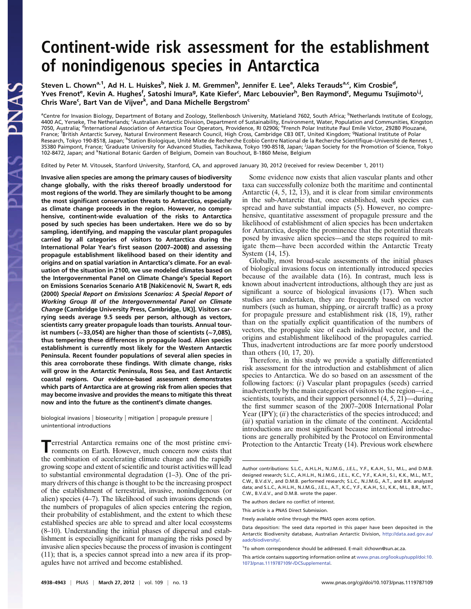## Continent-wide risk assessment for the establishment of nonindigenous species in Antarctica

Steven L. Chown<sup>a, 1</sup>, Ad H. L. Huiskes<sup>b</sup>, Niek J. M. Gremmen<sup>b</sup>, Jennifer E. Lee<sup>a</sup>, Aleks Terauds<sup>a,c</sup>, Kim Crosbie<sup>d</sup>, Yves Frenot<sup>e</sup>, Kevin A. Hughes<sup>f</sup>, Satoshi Imura<sup>g</sup>, Kate Kiefer<sup>c</sup>, Marc Lebouvier<sup>h</sup>, Ben Raymond<sup>c</sup>, Megumu Tsujimoto<sup>i,j</sup>, Chris Ware<sup>c</sup>, Bart Van de Vijver<sup>k</sup>, and Dana Michelle Bergstrom<sup>c</sup>

<sup>a</sup>Centre for Invasion Biology, Department of Botany and Zoology, Stellenbosch University, Matieland 7602, South Africa; <sup>b</sup>Netherlands Institute of Ecology, 4400 AC, Yerseke, The Netherlands; SAustralian Antarctic Division, Department of Sustainability, Environment, Water, Population and Communities, Kingston 7050, Australia; <sup>d</sup>international Association of Antarctica Tour Operators, Providence, RI 02906; <sup>e</sup>French Polar Institute Paul Emile Victor, 29280 Plouzané,<br>France; <sup>f</sup>British Antarctic Survey, Natural Environment Resear Research, Tokyo 190-8518, Japan; <sup>h</sup>Station Biologique, Unité Mixte de Recherche Ecobio Centre National de la Recherche Scientifique–Université de Rennes 1, 35380 Paimpont, France; Graduate University for Advanced Studies, Tachikawa, Tokyo 190-8518, Japan; Japan Society for the Promotion of Science, Tokyo 102-8472, Japan; and KNational Botanic Garden of Belgium, Domein van Bouchout, B-1860 Meise, Belgium

Edited by Peter M. Vitousek, Stanford University, Stanford, CA, and approved January 30, 2012 (received for review December 1, 2011)

Invasive alien species are among the primary causes of biodiversity change globally, with the risks thereof broadly understood for most regions of the world. They are similarly thought to be among the most significant conservation threats to Antarctica, especially as climate change proceeds in the region. However, no comprehensive, continent-wide evaluation of the risks to Antarctica posed by such species has been undertaken. Here we do so by sampling, identifying, and mapping the vascular plant propagules carried by all categories of visitors to Antarctica during the International Polar Year's first season (2007–2008) and assessing propagule establishment likelihood based on their identity and origins and on spatial variation in Antarctica's climate. For an evaluation of the situation in 2100, we use modeled climates based on the Intergovernmental Panel on Climate Change's Special Report on Emissions Scenarios Scenario A1B [Nakićenović N, Swart R, eds (2000) Special Report on Emissions Scenarios: A Special Report of Working Group III of the Intergovernmental Panel on Climate Change (Cambridge University Press, Cambridge, UK)]. Visitors carrying seeds average 9.5 seeds per person, although as vectors, scientists carry greater propagule loads than tourists. Annual tourist numbers (∼33,054) are higher than those of scientists (∼7,085), thus tempering these differences in propagule load. Alien species establishment is currently most likely for the Western Antarctic Peninsula. Recent founder populations of several alien species in this area corroborate these findings. With climate change, risks will grow in the Antarctic Peninsula, Ross Sea, and East Antarctic coastal regions. Our evidence-based assessment demonstrates which parts of Antarctica are at growing risk from alien species that may become invasive and provides the means to mitigate this threat now and into the future as the continent's climate changes.

biological invasions | biosecurity | mitigation | propagule pressure | unintentional introductions

Terrestrial Antarctica remains one of the most pristine environments on Earth. However, much concern now exists that the combination of accelerating climate change and the rapidly errestrial Antarctica remains one of the most pristine environments on Earth. However, much concern now exists that growing scope and extent of scientific and tourist activities will lead to substantial environmental degradation (1–3). One of the primary drivers of this change is thought to be the increasing prospect of the establishment of terrestrial, invasive, nonindigenous (or alien) species (4–7). The likelihood of such invasions depends on the numbers of propagules of alien species entering the region, their probability of establishment, and the extent to which these established species are able to spread and alter local ecosystems (8–10). Understanding the initial phases of dispersal and establishment is especially significant for managing the risks posed by invasive alien species because the process of invasion is contingent (11); that is, a species cannot spread into a new area if its propagules have not arrived and become established.

Some evidence now exists that alien vascular plants and other taxa can successfully colonize both the maritime and continental Antarctic (4, 5, 12, 13), and it is clear from similar environments in the sub-Antarctic that, once established, such species can spread and have substantial impacts (5). However, no comprehensive, quantitative assessment of propagule pressure and the likelihood of establishment of alien species has been undertaken for Antarctica, despite the prominence that the potential threats posed by invasive alien species—and the steps required to mitigate them—have been accorded within the Antarctic Treaty System (14, 15).

Globally, most broad-scale assessments of the initial phases of biological invasions focus on intentionally introduced species because of the available data (16). In contrast, much less is known about inadvertent introductions, although they are just as significant a source of biological invasions (17). When such studies are undertaken, they are frequently based on vector numbers (such as human, shipping, or aircraft traffic) as a proxy for propagule pressure and establishment risk (18, 19), rather than on the spatially explicit quantification of the numbers of vectors, the propagule size of each individual vector, and the origins and establishment likelihood of the propagules carried. Thus, inadvertent introductions are far more poorly understood than others (10, 17, 20).

Therefore, in this study we provide a spatially differentiated risk assessment for the introduction and establishment of alien species to Antarctica. We do so based on an assessment of the following factors: (i) Vascular plant propagules (seeds) carried inadvertently by the main categories of visitors to the region—i.e., scientists, tourists, and their support personnel (4, 5, 21)—during the first summer season of the 2007–2008 International Polar Year (IPY);  $(ii)$  the characteristics of the species introduced; and (iii) spatial variation in the climate of the continent. Accidental introductions are most significant because intentional introductions are generally prohibited by the Protocol on Environmental Protection to the Antarctic Treaty (14). Previous work elsewhere

Author contributions: S.L.C., A.H.L.H., N.J.M.G., J.E.L., Y.F., K.A.H., S.I., M.L., and D.M.B. designed research; S.L.C., A.H.L.H., N.J.M.G., J.E.L., K.C., Y.F., K.A.H., S.I., K.K., M.L., M.T., C.W., B.V.d.V., and D.M.B. performed research; S.L.C., N.J.M.G., A.T., and B.R. analyzed data; and S.L.C., A.H.L.H., N.J.M.G., J.E.L., A.T., K.C., Y.F., K.A.H., S.I., K.K., M.L., B.R., M.T., C.W., B.V.d.V., and D.M.B. wrote the paper.

The authors declare no conflict of interest.

This article is a PNAS Direct Submission.

Freely available online through the PNAS open access option.

Data deposition: The seed data reported in this paper have been deposited in the Antarctic Biodiversity database, Australian Antarctic Division, http://data.aad.gov.au/ aadc/biodiversity/.

<sup>&</sup>lt;sup>1</sup>To whom correspondence should be addressed. E-mail: slchown@sun.ac.za.

This article contains supporting information online at www.pnas.org/lookup/suppl/doi:10. 1073/pnas.1119787109/-/DCSupplemental.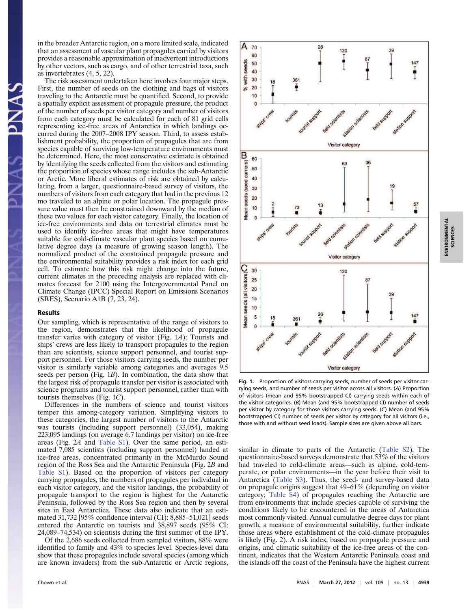in the broader Antarctic region, on a more limited scale, indicated that an assessment of vascular plant propagules carried by visitors provides a reasonable approximation of inadvertent introductions by other vectors, such as cargo, and of other terrestrial taxa, such as invertebrates (4, 5, 22).

The risk assessment undertaken here involves four major steps. First, the number of seeds on the clothing and bags of visitors traveling to the Antarctic must be quantified. Second, to provide a spatially explicit assessment of propagule pressure, the product of the number of seeds per visitor category and number of visitors from each category must be calculated for each of 81 grid cells representing ice-free areas of Antarctica in which landings occurred during the 2007–2008 IPY season. Third, to assess establishment probability, the proportion of propagules that are from species capable of surviving low-temperature environments must be determined. Here, the most conservative estimate is obtained by identifying the seeds collected from the visitors and estimating the proportion of species whose range includes the sub-Antarctic or Arctic. More liberal estimates of risk are obtained by calculating, from a larger, questionnaire-based survey of visitors, the numbers of visitors from each category that had in the previous 12 mo traveled to an alpine or polar location. The propagule pressure value must then be constrained downward by the median of these two values for each visitor category. Finally, the location of ice-free environments and data on terrestrial climates must be used to identify ice-free areas that might have temperatures suitable for cold-climate vascular plant species based on cumulative degree days (a measure of growing season length). The normalized product of the constrained propagule pressure and the environmental suitability provides a risk index for each grid cell. To estimate how this risk might change into the future, current climates in the preceding analysis are replaced with climates forecast for 2100 using the Intergovernmental Panel on Climate Change (IPCC) Special Report on Emissions Scenarios (SRES), Scenario A1B (7, 23, 24).

## Results

Our sampling, which is representative of the range of visitors to the region, demonstrates that the likelihood of propagule transfer varies with category of visitor (Fig. 1A): Tourists and ships' crews are less likely to transport propagules to the region than are scientists, science support personnel, and tourist support personnel. For those visitors carrying seeds, the number per visitor is similarly variable among categories and averages 9.5 seeds per person (Fig. 1B). In combination, the data show that the largest risk of propagule transfer per visitor is associated with science programs and tourist support personnel, rather than with tourists themselves (Fig. 1C).

Differences in the numbers of science and tourist visitors temper this among-category variation. Simplifying visitors to these categories, the largest number of visitors to the Antarctic was tourists (including support personnel) (33,054), making 223,095 landings (on average 6.7 landings per visitor) on ice-free areas (Fig. 2A and Table S1). Over the same period, an estimated 7,085 scientists (including support personnel) landed at ice-free areas, concentrated primarily in the McMurdo Sound region of the Ross Sea and the Antarctic Peninsula (Fig. 2B and Table S1). Based on the proportion of visitors per category carrying propagules, the numbers of propagules per individual in each visitor category, and the visitor landings, the probability of propagule transport to the region is highest for the Antarctic Peninsula, followed by the Ross Sea region and then by several sites in East Antarctica. These data also indicate that an estimated 31,732 [95% confidence interval (CI): 8,885–51,021] seeds entered the Antarctic on tourists and 38,897 seeds (95% CI: 24,089–74,534) on scientists during the first summer of the IPY.

Of the 2,686 seeds collected from sampled visitors, 88% were identified to family and 43% to species level. Species-level data show that these propagules include several species (among which are known invaders) from the sub-Antarctic or Arctic regions,



ENVIRONMENTAL SCIENCES

**ENVIRONMENTAL<br>SCIENCES** 

of visitors (mean and 95% bootstrapped CI) carrying seeds within each of the visitor categories. (*B*) Mean (and 95% bootstrapped CI) number of seeds per visitor by category for those visitors carrying seeds. (*C*) Mean (and 95% bootstrapped CI) number of seeds per visitor by category for all visitors (i.e., those with and without seed loads). Sample sizes are given above all bars.

similar in climate to parts of the Antarctic (Table S2). The questionnaire-based surveys demonstrate that 53% of the visitors had traveled to cold-climate areas—such as alpine, cold-temperate, or polar environments—in the year before their visit to Antarctica (Table S3). Thus, the seed- and survey-based data on propagule origins suggest that 49–61% (depending on visitor category; Table S4) of propagules reaching the Antarctic are from environments that include species capable of surviving the conditions likely to be encountered in the areas of Antarctica most commonly visited. Annual cumulative degree days for plant growth, a measure of environmental suitability, further indicate those areas where establishment of the cold-climate propagules is likely (Fig. 2). A risk index, based on propagule pressure and origins, and climatic suitability of the ice-free areas of the continent, indicates that the Western Antarctic Peninsula coast and the islands off the coast of the Peninsula have the highest current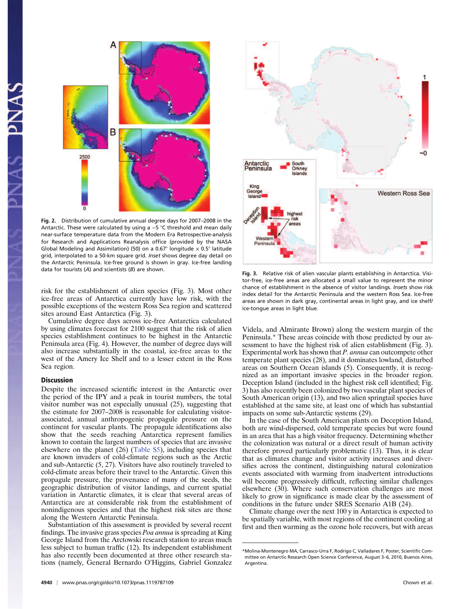

Fig. 2. Distribution of cumulative annual degree days for 2007–2008 in the Antarctic. These were calculated by using a  $-5$  °C threshold and mean daily near-surface temperature data from the Modern Era Retrospective-analysis for Research and Applications Reanalysis office (provided by the NASA Global Modeling and Assimilation) (50) on a 0.67° longitude  $\times$  0.5° latitude grid, interpolated to a 50-km square grid. *Inset* shows degree day detail on the Antarctic Peninsula. Ice-free ground is shown in gray. Ice-free landing data for tourists (A) and scientists (B) are shown.<br>Fig. 3. Relative risk of alien vascular plants establishing in Antarctica. Visi-

risk for the establishment of alien species (Fig. 3). Most other ice-free areas of Antarctica currently have low risk, with the possible exceptions of the western Ross Sea region and scattered sites around East Antarctica (Fig. 3).

Cumulative degree days across ice-free Antarctica calculated by using climates forecast for 2100 suggest that the risk of alien species establishment continues to be highest in the Antarctic Peninsula area (Fig. 4). However, the number of degree days will also increase substantially in the coastal, ice-free areas to the west of the Amery Ice Shelf and to a lesser extent in the Ross Sea region.

## Discussion

Despite the increased scientific interest in the Antarctic over the period of the IPY and a peak in tourist numbers, the total visitor number was not especially unusual (25), suggesting that the estimate for 2007–2008 is reasonable for calculating visitorassociated, annual anthropogenic propagule pressure on the continent for vascular plants. The propagule identifications also show that the seeds reaching Antarctica represent families known to contain the largest numbers of species that are invasive elsewhere on the planet (26) (Table S5), including species that are known invaders of cold-climate regions such as the Arctic and sub-Antarctic (5, 27). Visitors have also routinely traveled to cold-climate areas before their travel to the Antarctic. Given this propagule pressure, the provenance of many of the seeds, the geographic distribution of visitor landings, and current spatial variation in Antarctic climates, it is clear that several areas of Antarctica are at considerable risk from the establishment of nonindigenous species and that the highest risk sites are those along the Western Antarctic Peninsula.

Substantiation of this assessment is provided by several recent findings. The invasive grass species Poa annua is spreading at King George Island from the Arctowski research station to areas much less subject to human traffic (12). Its independent establishment has also recently been documented at three other research stations (namely, General Bernardo O'Higgins, Gabriel Gonzalez



tor-free, ice-free areas are allocated a small value to represent the minor chance of establishment in the absence of visitor landings. *Insets* show risk index detail for the Antarctic Peninsula and the western Ross Sea. Ice-free areas are shown in dark gray, continental areas in light gray, and ice shelf/ ice-tongue areas in light blue.

Videla, and Almirante Brown) along the western margin of the Peninsula.\* These areas coincide with those predicted by our assessment to have the highest risk of alien establishment (Fig. 3). Experimental work has shown that *P. annua* can outcompete other temperate plant species (28), and it dominates lowland, disturbed areas on Southern Ocean islands (5). Consequently, it is recognized as an important invasive species in the broader region. Deception Island (included in the highest risk cell identified; Fig. 3) has also recently been colonized by two vascular plant species of South American origin (13), and two alien springtail species have established at the same site, at least one of which has substantial impacts on some sub-Antarctic systems (29).

In the case of the South American plants on Deception Island, both are wind-dispersed, cold temperate species but were found in an area that has a high visitor frequency. Determining whether the colonization was natural or a direct result of human activity therefore proved particularly problematic (13). Thus, it is clear that as climates change and visitor activity increases and diversifies across the continent, distinguishing natural colonization events associated with warming from inadvertent introductions will become progressively difficult, reflecting similar challenges elsewhere (30). Where such conservation challenges are most likely to grow in significance is made clear by the assessment of conditions in the future under SRES Scenario A1B (24).

Climate change over the next 100 y in Antarctica is expected to be spatially variable, with most regions of the continent cooling at first and then warming as the ozone hole recovers, but with areas

<sup>\*</sup>Molina-Montenegro MA, Carrasco-Urra F, Rodrigo C, Valladares F, Poster, Scientific Committee on Antarctic Research Open Science Conference, August 3–6, 2010, Buenos Aires, Argentina.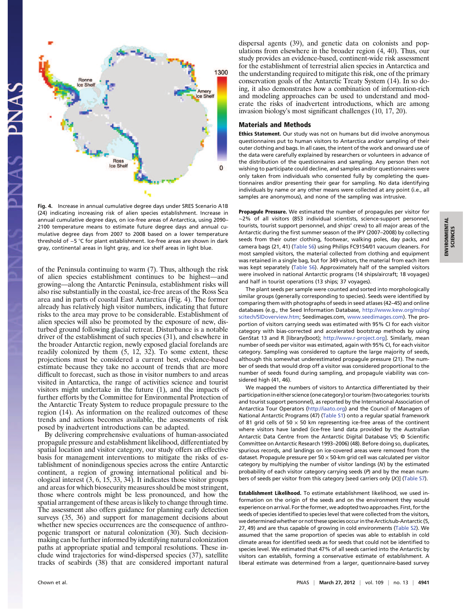

Fig. 4. Increase in annual cumulative degree days under SRES Scenario A1B (24) indicating increasing risk of alien species establishment. Increase in annual cumulative degree days, on ice-free areas of Antarctica, using 2090– 2100 temperature means to estimate future degree days and annual cumulative degree days from 2007 to 2008 based on a lower temperature threshold of −5 °C for plant establishment. Ice-free areas are shown in dark gray, continental areas in light gray, and ice shelf areas in light blue.

of the Peninsula continuing to warm (7). Thus, although the risk of alien species establishment continues to be highest—and growing—along the Antarctic Peninsula, establishment risks will also rise substantially in the coastal, ice-free areas of the Ross Sea area and in parts of coastal East Antarctica (Fig. 4). The former already has relatively high visitor numbers, indicating that future risks to the area may prove to be considerable. Establishment of alien species will also be promoted by the exposure of new, disturbed ground following glacial retreat. Disturbance is a notable driver of the establishment of such species (31), and elsewhere in the broader Antarctic region, newly exposed glacial forelands are readily colonized by them (5, 12, 32). To some extent, these projections must be considered a current best, evidence-based estimate because they take no account of trends that are more difficult to forecast, such as those in visitor numbers to and areas visited in Antarctica, the range of activities science and tourist visitors might undertake in the future (1), and the impacts of further efforts by the Committee for Environmental Protection of the Antarctic Treaty System to reduce propagule pressure to the region (14). As information on the realized outcomes of these trends and actions becomes available, the assessments of risk posed by inadvertent introductions can be adapted.

By delivering comprehensive evaluations of human-associated propagule pressure and establishment likelihood, differentiated by spatial location and visitor category, our study offers an effective basis for management interventions to mitigate the risks of establishment of nonindigenous species across the entire Antarctic continent, a region of growing international political and biological interest (3, 6, 15, 33, 34). It indicates those visitor groups and areas for which biosecurity measures should be most stringent, those where controls might be less pronounced, and how the spatial arrangement of these areas is likely to change through time. The assessment also offers guidance for planning early detection surveys  $(35, 36)$  and support for management decisions about whether new species occurrences are the consequence of anthropogenic transport or natural colonization (30). Such decisionmaking can be further informed by identifying natural colonization paths at appropriate spatial and temporal resolutions. These include wind trajectories for wind-dispersed species (37), satellite tracks of seabirds (38) that are considered important natural dispersal agents (39), and genetic data on colonists and populations from elsewhere in the broader region (4, 40). Thus, our study provides an evidence-based, continent-wide risk assessment for the establishment of terrestrial alien species in Antarctica and the understanding required to mitigate this risk, one of the primary conservation goals of the Antarctic Treaty System (14). In so doing, it also demonstrates how a combination of information-rich and modeling approaches can be used to understand and moderate the risks of inadvertent introductions, which are among invasion biology's most significant challenges (10, 17, 20).

## Materials and Methods

Ethics Statement. Our study was not on humans but did involve anonymous questionnaires put to human visitors to Antarctica and/or sampling of their outer clothing and bags. In all cases, the intent of the work and onward use of the data were carefully explained by researchers or volunteers in advance of the distribution of the questionnaires and sampling. Any person then not wishing to participate could decline, and samples and/or questionnaires were only taken from individuals who consented fully by completing the questionnaires and/or presenting their gear for sampling. No data identifying individuals by name or any other means were collected at any point (i.e., all samples are anonymous), and none of the sampling was intrusive.

Propagule Pressure. We estimated the number of propagules per visitor for ∼2% of all visitors (853 individual scientists, science-support personnel, tourists, tourist support personnel, and ships' crew) to all major areas of the Antarctic during the first summer season of the IPY (2007–2008) by collecting seeds from their outer clothing, footwear, walking poles, day packs, and camera bags (21, 41) (Table S6) using Philips FC9154/01 vacuum cleaners. For most sampled visitors, the material collected from clothing and equipment was retained in a single bag, but for 349 visitors, the material from each item was kept separately (Table S6). Approximately half of the sampled visitors were involved in national Antarctic programs (14 ships/aircraft; 18 voyages) and half in tourist operations (13 ships; 37 voyages).

The plant seeds per sample were counted and sorted into morphologically similar groups (generally corresponding to species). Seeds were identified by comparing them with photographs of seeds in seed atlases (42–45) and online databases (e.g., the Seed Information Database, http://www.kew.org/msbp/ scitech/SIDoverview.htm; Seedimages.com, www.seedimages.com). The proportion of visitors carrying seeds was estimated with 95% CI for each visitor category with bias-corrected and accelerated bootstrap methods by using GenStat 13 and R [library(boot); http://www.r-project.org]. Similarly, mean number of seeds per visitor was estimated, again with 95% CI, for each visitor category. Sampling was considered to capture the large majority of seeds, although this somewhat underestimated propagule pressure (21). The number of seeds that would drop off a visitor was considered proportional to the number of seeds found during sampling, and propagule viability was considered high (41, 46).

We mapped the numbers of visitors to Antarctica differentiated by their participation in either science (one category) or tourism (two categories: tourists and tourist support personnel), as reported by the International Association of Antarctica Tour Operators (http://iaato.org) and the Council of Managers of National Antarctic Programs (47) (Table S1) onto a regular spatial framework of 81 grid cells of 50  $\times$  50 km representing ice-free areas of the continent where visitors have landed (ice-free land data provided by the Australian Antarctic Data Centre from the Antarctic Digital Database V5; © Scientific Committee on Antarctic Research 1993–2006) (48). Before doing so, duplicates, spurious records, and landings on ice-covered areas were removed from the dataset. Propagule pressure per 50  $\times$  50-km grid cell was calculated per visitor category by multiplying the number of visitor landings (*N*) by the estimated probability of each visitor category carrying seeds (*P*) and by the mean numbers of seeds per visitor from this category [seed carriers only (*X*)] (Table S7).

Establishment Likelihood. To estimate establishment likelihood, we used information on the origin of the seeds and on the environment they would experience on arrival. For the former, we adopted two approaches. First, for the seeds of species identified to species level that were collected from the visitors, we determined whether or not these species occurin the Arctic/sub-Antarctic (5, 27, 49) and are thus capable of growing in cold environments (Table S2). We assumed that the same proportion of species was able to establish in cold climate areas for identified seeds as for seeds that could not be identified to species level. We estimated that 47% of all seeds carried into the Antarctic by visitors can establish, forming a conservative estimate of establishment. A liberal estimate was determined from a larger, questionnaire-based survey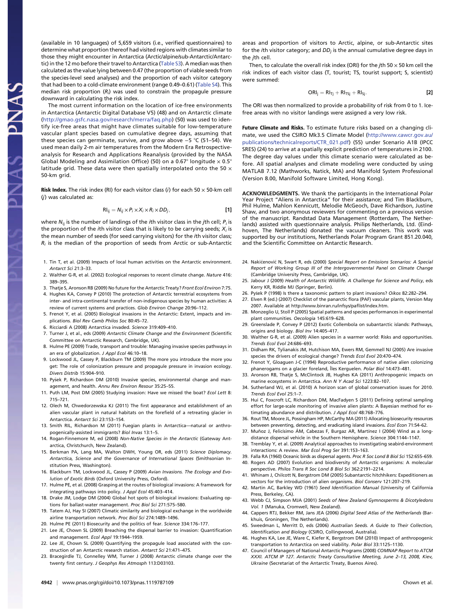(available in 10 languages) of 5,659 visitors (i.e., verified questionnaires) to determine what proportion thereof had visited regions with climates similar to those they might encounter in Antarctica (Arctic/alpine/sub-Antarctic/Antarctic) in the 12 mo before their travel to Antarctica (Table S3). A median was then calculated as the value lying between 0.47 (the proportion of viable seeds from the species-level seed analyses) and the proportion of each visitor category that had been to a cold-climate environment (range 0.49–0.61) (Table S4). This median risk proportion (*R<sup>i</sup>* ) was used to constrain the propagule pressure downward in calculating the risk index.

The most current information on the location of ice-free environments in Antarctica (Antarctic Digital Database V5) (48) and on Antarctic climate (http://gmao.gsfc.nasa.gov/research/merra/faq.php) (50) was used to identify ice-free areas that might have climates suitable for low-temperature vascular plant species based on cumulative degree days, assuming that these species can germinate, survive, and grow above -5 °C (51-54). We used mean daily 2-m air temperatures from the Modern Era Retrospectiveanalysis for Research and Applications Reanalysis (provided by the NASA Global Modeling and Assimilation Office) (50) on a 0.67 $^{\circ}$  longitude  $\times$  0.5 $^{\circ}$ latitude grid. These data were then spatially interpolated onto the 50  $\times$ 50-km grid.

**Risk Index.** The risk index (RI) for each visitor class ( $i$ ) for each 50  $\times$  50-km cell (*j*) was calculated as:

$$
RI_{ij} = N_{ij} \times P_i \times X_i \times R_i \times DD_j,
$$
 [1]

where *N*ij is the number of landings of the *i*th visitor class in the *j*th cell; *P<sup>i</sup>* is the proportion of the *i*th visitor class that is likely to be carrying seeds; *X<sup>i</sup>* is the mean number of seeds (for seed carrying visitors) for the *i*th visitor class; *Ri* is the median of the proportion of seeds from Arctic or sub-Antarctic

- 1. Tin T, et al. (2009) Impacts of local human activities on the Antarctic environment. *Antarct Sci* 21:3–33.
- 2. Walther G-R, et al. (2002) Ecological responses to recent climate change. *Nature* 416: 389–395.
- 3. Thatje S, Aronson RB (2009) No future for the Antarctic Treaty? *Front Ecol Environ* 7:75.
- 4. Hughes KA, Convey P (2010) The protection of Antarctic terrestrial ecosystems from inter- and intra-continental transfer of non-indigenous species by human activities: A review of current systems and practices. *Glob Environ Change* 20:96–112.
- 5. Frenot Y, et al. (2005) Biological invasions in the Antarctic: Extent, impacts and implications. *Biol Rev Camb Philos Soc* 80:45–72.
- 6. Ricciardi A (2008) Antarctica invaded. *Science* 319:409–410.
- 7. Turner J, et al., eds (2009) *Antarctic Climate Change and the Environment* (Scientific Committee on Antarctic Research, Cambridge, UK).
- 8. Hulme PE (2009) Trade, transport and trouble: Managing invasive species pathways in an era of globalization. *J Appl Ecol* 46:10–18.
- 9. Lockwood JL, Cassey P, Blackburn TM (2009) The more you introduce the more you get: The role of colonization pressure and propagule pressure in invasion ecology. *Divers Distrib* 15:904–910.
- 10. Pyšek P, Richardson DM (2010) Invasive species, environmental change and management, and health. *Annu Rev Environ Resour* 35:25–55.
- 11. Puth LM, Post DM (2005) Studying invasion: Have we missed the boat? *Ecol Lett* 8: 715–721.
- 12. Olech M, Chwedorzewska KJ (2011) The first appearance and establishment of an alien vascular plant in natural habitats on the forefield of a retreating glacier in Antarctica. *Antarct Sci* 23:153–154.
- 13. Smith RIL, Richardson M (2011) Fuegian plants in Antarctica—natural or anthropogenically-assisted immigrants? *Biol Invas* 13:1–5.
- 14. Rogan-Finnemore M, ed (2008) *Non-Native Species in the Antarctic* (Gateway Antarctica, Christchurch, New Zealand).
- 15. Berkman PA, Lang MA, Walton DWH, Young OR, eds (2011) *Science Diplomacy. Antarctica, Science and the Governance of International Spaces* (Smithsonian Institution Press, Washington).
- 16. Blackburn TM, Lockwood JL, Cassey P (2009) *Avian Invasions. The Ecology and Evolution of Exotic Birds* (Oxford University Press, Oxford).
- 17. Hulme PE, et al. (2008) Grasping at the routes of biological invasions: A framework for integrating pathways into policy. *J Appl Ecol* 45:403–414.
- 18. Drake JM, Lodge DM (2004) Global hot spots of biological invasions: Evaluating options for ballast-water management. *Proc Biol Sci* 271:575–580.
- 19. Tatem AJ, Hay SI (2007) Climatic similarity and biological exchange in the worldwide airline transportation network. *Proc Biol Sci* 274:1489–1496.
- 20. Hulme PE (2011) Biosecurity and the politics of fear. *Science* 334:176–177.
- 21. Lee JE, Chown SL (2009) Breaching the dispersal barrier to invasion: Quantification and management. *Ecol Appl* 19:1944–1959.
- 22. Lee JE, Chown SL (2009) Quantifying the propagule load associated with the construction of an Antarctic research station. *Antarct Sci* 21:471–475.
- 23. Bracegirdle TJ, Connelley WM, Turner J (2008) Antarctic climate change over the twenty first century. *J Geophys Res Atmosph* 113:D03103.

areas and proportion of visitors to Arctic, alpine, or sub-Antarctic sites for the *i*th visitor category; and *DD<sup>j</sup>* is the annual cumulative degree days in the *j*th cell.

Then, to calculate the overall risk index (ORI) for the  $j$ th 50  $\times$  50 km cell the risk indices of each visitor class (T, tourist; TS, tourist support; S, scientist) were summed:

$$
ORI_j = RI_{Tj} + RI_{TSj} + RI_{Sj}.
$$
 [2]

The ORI was then normalized to provide a probability of risk from 0 to 1. Icefree areas with no visitor landings were assigned a very low risk.

Future Climate and Risks. To estimate future risks based on a changing climate, we used the CSIRO Mk3.5 Climate Model (http://www.cawcr.gov.au/ publications/technicalreports/CTR\_021.pdf) (55) under Scenario A1B (IPCC SRES) (24) to arrive at a spatially explicit prediction of temperatures in 2100. The degree day values under this climate scenario were calculated as before. All spatial analyses and climate modeling were conducted by using MATLAB 7.12 (Mathworks, Natick, MA) and Manifold System Professional (Version 8.00, Manifold Software Limited, Hong Kong).

ACKNOWLEDGMENTS. We thank the participants in the International Polar Year Project "Aliens in Antarctica" for their assistance; and Tim Blackburn, Phil Hulme, Mahlon Kennicutt, Melodie McGeoch, Dave Richardson, Justine Shaw, and two anonymous reviewers for commenting on a previous version of the manuscript. Randstad Data Management (Rotterdam, The Netherlands) assisted with questionnaire analysis. Philips Netherlands, Ltd. (Eindhoven, The Netherlands) donated the vacuum cleaners. This work was supported by our institutions, Netherlands Polar Program Grant 851.20.040, and the Scientific Committee on Antarctic Research.

- 24. Nakićenović N, Swart R, eds (2000) Special Report on Emissions Scenarios: A Special *Report of Working Group III of the Intergovernmental Panel on Climate Change* (Cambridge University Press, Cambridge, UK).
- 25. Jabour J (2009) *Health of Antarctic Wildlife. A Challenge for Science and Policy*, eds Kerry KR, Riddle MJ (Springer, Berlin).
- 26. Pyšek P (1998) Is there a taxonomic pattern to plant invasions? Oikos 82:282-294.
- 27. Elven R (ed.) (2007) Checklist of the panarctic flora (PAF) vascular plants, Version May 2007. Available at http://www.binran.ru/infsys/paflist/index.htm.
- 28. Monzeglio U, Stoll P (2005) Spatial patterns and species performances in experimental plant communities. *Oecologia* 145:619–628.
- 29. Greenslade P, Convey P (2012) Exotic Collembola on subantarctic islands: Pathways, origins and biology. *Biol Inv* 14:405–417.
- 30. Walther G-R, et al. (2009) Alien species in a warmer world: Risks and opportunities. *Trends Ecol Evol* 24:686–693.
- 31. Didham RK, Tylianakis JM, Hutchison MA, Ewers RM, Gemmell NJ (2005) Are invasive species the drivers of ecological change? *Trends Ecol Evol* 20:470–474.
- 32. Frenot Y, Gloaguen J-C (1994) Reproductive performance of native alien colonizing phanerogams on a glacier foreland, Îles Kerguelen. *Polar Biol* 14:473–481.
- 33. Aronson RB, Thatje S, McClintock JB, Hughes KA (2011) Anthropogenic impacts on marine ecosystems in Antarctica. *Ann N Y Acad Sci* 1223:82–107.
- 34. Sutherland WJ, et al. (2010) A horizon scan of global conservation issues for 2010. *Trends Ecol Evol* 25:1–7.
- 35. Hui C, Foxcroft LC, Richardson DM, MacFadyen S (2011) Defining optimal sampling effort for large-scale monitoring of invasive alien plants: A Bayesian method for estimating abundance and distribution. *J Appl Ecol* 48:768–776.
- 36. Rout TM, Moore JL, Possingham HP, McCarthy MA (2011) Allocating biosecurity resources between preventing, detecting, and eradicating island invasions. *Ecol Econ* 71:54–62.
- 37. Muñoz J, Felicísimo ÁM, Cabezas F, Burgaz AR, Martínez I (2004) Wind as a longdistance dispersal vehicle in the Southern Hemisphere. *Science* 304:1144–1147.
- 38. Tremblay Y, et al. (2009) Analytical approaches to investigating seabird-environment interactions: A review. *Mar Ecol Prog Ser* 391:153–163.
- 39. Falla RA (1960) Oceanic birds as dispersal agents. *Proc R Soc Lond B Biol Sci* 152:655–659.
- 40. Rogers AD (2007) Evolution and biodiversity of Antarctic organisms: A molecular perspective. *Philos Trans R Soc Lond B Biol Sci* 362:2191–2214.
- 41. Whinam J, Chilcott N, Bergstrom DM (2005) Subantarctic hitchhikers: Expeditioners as vectors for the introduction of alien organisms. *Biol Conserv* 121:207–219.
- 42. Martin AC, Barkley WD (1961) *Seed Identi*fi*cation Manual* (University of California Press, Berkeley, CA).
- 43. Webb CJ, Simpson MJA (2001) *Seeds of New Zealand Gymnosperms & Dicotyledons Vol. 1* (Manuka, Cromwell, New Zealand).
- 44. Cappers RTJ, Bekker RM, Jans JEA (2006) *Digital Seed Atlas of the Netherlands* (Barkhuis, Groningen, The Netherlands).
- 45. Sweedman L, Merritt D, eds (2006) *Australian Seeds. A Guide to Their Collection, Identi*fi*cation and Biology* (CSIRO, Collingwood, Australia).
- 46. Hughes KA, Lee JE, Ware C, Kiefer K, Bergstrom DM (2010) Impact of anthropogenic transportation to Antarctica on seed viability. *Polar Biol* 33:1125–1130.
- 47. Council of Managers of National Antarctic Programs (2008) *COMNAP Report to ATCM XXXI. ATCM IP 127. Antarctic Treaty Consultative Meeting, June 2*–*13, 2008, Kiev, Ukraine* (Secretariat of the Antarctic Treaty, Buenos Aires).